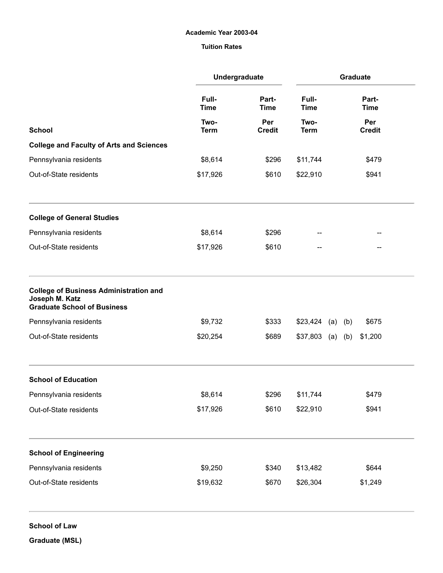## Academic Year 2003-04

## Tuition Rates

|                                                                                                       | Undergraduate                              |                                        |                      | Graduate             |
|-------------------------------------------------------------------------------------------------------|--------------------------------------------|----------------------------------------|----------------------|----------------------|
|                                                                                                       | Full-<br><b>Time</b>                       | Part-<br><b>Time</b>                   | Full-<br><b>Time</b> | Part-<br><b>Time</b> |
| <b>School</b>                                                                                         | Two-<br><b>Term</b><br>\$8,614<br>\$17,926 | Per<br><b>Credit</b><br>\$296<br>\$610 | Two-<br><b>Term</b>  | Per<br><b>Credit</b> |
| <b>College and Faculty of Arts and Sciences</b>                                                       |                                            |                                        |                      |                      |
| Pennsylvania residents<br>Out-of-State residents                                                      |                                            |                                        | \$11,744             | \$479                |
|                                                                                                       |                                            |                                        | \$22,910             | \$941                |
| <b>College of General Studies</b>                                                                     |                                            |                                        |                      |                      |
| Pennsylvania residents                                                                                | \$8,614                                    | \$296                                  | --                   |                      |
| Out-of-State residents                                                                                | \$17,926                                   | \$610                                  | --                   |                      |
| <b>College of Business Administration and</b><br>Joseph M. Katz<br><b>Graduate School of Business</b> |                                            |                                        |                      |                      |
| Pennsylvania residents                                                                                | \$9,732                                    | \$333                                  | \$23,424             | \$675<br>(a)<br>(b)  |
| Out-of-State residents                                                                                | \$20,254                                   | \$689                                  | $$37,803$ (a) (b)    | \$1,200              |
| <b>School of Education</b>                                                                            |                                            |                                        |                      |                      |
| Pennsylvania residents                                                                                | \$8,614                                    | \$296                                  | \$11,744             | \$479                |
| Out-of-State residents                                                                                | \$17,926                                   | \$610                                  | \$22,910             | \$941                |
| <b>School of Engineering</b>                                                                          |                                            |                                        |                      |                      |
| Pennsylvania residents                                                                                | \$9,250                                    | \$340                                  | \$13,482             | \$644                |
| Out-of-State residents                                                                                | \$19,632                                   | \$670                                  | \$26,304             | \$1,249              |

Graduate (MSL)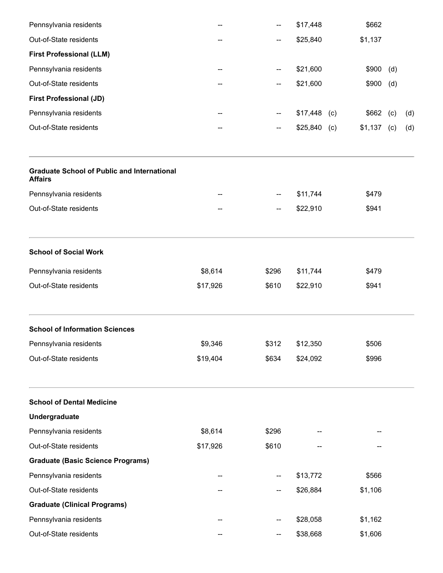| Pennsylvania residents                                               |          | --    | \$17,448      | \$662        |     |     |
|----------------------------------------------------------------------|----------|-------|---------------|--------------|-----|-----|
| Out-of-State residents                                               |          | --    | \$25,840      | \$1,137      |     |     |
| <b>First Professional (LLM)</b>                                      |          |       |               |              |     |     |
| Pennsylvania residents                                               |          | --    | \$21,600      | \$900        | (d) |     |
| Out-of-State residents                                               |          | --    | \$21,600      | \$900        | (d) |     |
| <b>First Professional (JD)</b>                                       |          |       |               |              |     |     |
| Pennsylvania residents                                               |          | --    | $$17,448$ (c) | $$662$ (c)   |     | (d) |
| Out-of-State residents                                               |          | --    | $$25,840$ (c) | $$1,137$ (c) |     | (d) |
| <b>Graduate School of Public and International</b><br><b>Affairs</b> |          |       |               |              |     |     |
| Pennsylvania residents                                               |          | --    | \$11,744      | \$479        |     |     |
| Out-of-State residents                                               |          | --    | \$22,910      | \$941        |     |     |
| <b>School of Social Work</b>                                         |          |       |               |              |     |     |
| Pennsylvania residents                                               | \$8,614  | \$296 | \$11,744      | \$479        |     |     |
| Out-of-State residents                                               | \$17,926 | \$610 | \$22,910      | \$941        |     |     |
| <b>School of Information Sciences</b>                                |          |       |               |              |     |     |
| Pennsylvania residents                                               | \$9,346  | \$312 | \$12,350      | \$506        |     |     |
| Out-of-State residents                                               | \$19,404 | \$634 | \$24,092      | \$996        |     |     |
| <b>School of Dental Medicine</b>                                     |          |       |               |              |     |     |
| Undergraduate                                                        |          |       |               |              |     |     |
| Pennsylvania residents                                               | \$8,614  | \$296 |               |              |     |     |
| Out-of-State residents                                               | \$17,926 | \$610 |               |              |     |     |
| <b>Graduate (Basic Science Programs)</b>                             |          |       |               |              |     |     |
| Pennsylvania residents                                               |          |       | \$13,772      | \$566        |     |     |
| Out-of-State residents                                               |          | --    | \$26,884      | \$1,106      |     |     |
| <b>Graduate (Clinical Programs)</b>                                  |          |       |               |              |     |     |
| Pennsylvania residents                                               |          |       | \$28,058      | \$1,162      |     |     |
| Out-of-State residents                                               |          |       | \$38,668      | \$1,606      |     |     |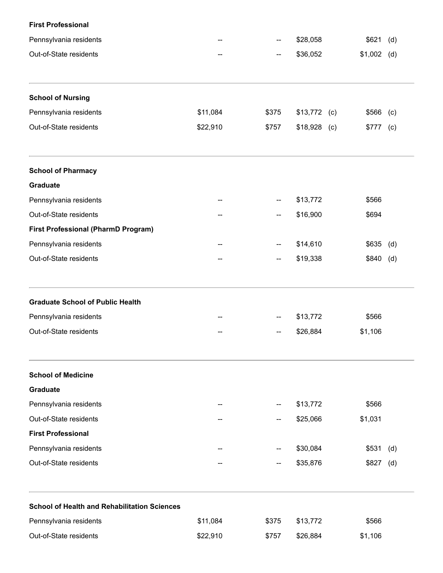| <b>First Professional</b>                           |          |                                |                 |                       |     |
|-----------------------------------------------------|----------|--------------------------------|-----------------|-----------------------|-----|
| Pennsylvania residents                              |          | --<br>$\overline{\phantom{a}}$ | \$28,058        | \$621<br>$$1,002$ (d) |     |
| Out-of-State residents                              |          |                                | \$36,052        |                       |     |
| <b>School of Nursing</b>                            |          |                                |                 |                       |     |
| Pennsylvania residents                              | \$11,084 | \$375                          | $$13,772$ (c)   | \$566                 | (c) |
| Out-of-State residents                              | \$22,910 | \$757                          | \$18,928<br>(c) | \$777                 | (c) |
| <b>School of Pharmacy</b>                           |          |                                |                 |                       |     |
| <b>Graduate</b>                                     |          |                                |                 |                       |     |
| Pennsylvania residents                              |          | --                             | \$13,772        | \$566                 |     |
| Out-of-State residents                              |          | --                             | \$16,900        | \$694                 |     |
| <b>First Professional (PharmD Program)</b>          |          |                                |                 |                       |     |
| Pennsylvania residents                              |          | --                             | \$14,610        | \$635                 | (d) |
| Out-of-State residents                              |          | $\overline{\phantom{a}}$       | \$19,338        | $$840$ (d)            |     |
| <b>Graduate School of Public Health</b>             |          |                                |                 |                       |     |
| Pennsylvania residents                              |          |                                | \$13,772        | \$566                 |     |
| Out-of-State residents                              |          |                                | \$26,884        | \$1,106               |     |
| <b>School of Medicine</b>                           |          |                                |                 |                       |     |
| <b>Graduate</b>                                     |          |                                |                 |                       |     |
| Pennsylvania residents                              |          |                                | \$13,772        | \$566                 |     |
| Out-of-State residents                              |          | --                             | \$25,066        | \$1,031               |     |
| <b>First Professional</b>                           |          |                                |                 |                       |     |
| Pennsylvania residents                              |          |                                | \$30,084        | \$531                 | (d) |
| Out-of-State residents                              |          |                                | \$35,876        | \$827                 | (d) |
| <b>School of Health and Rehabilitation Sciences</b> |          |                                |                 |                       |     |
| Pennsylvania residents                              | \$11,084 | \$375                          | \$13,772        | \$566                 |     |
| Out-of-State residents                              | \$22,910 | \$757                          | \$26,884        | \$1,106               |     |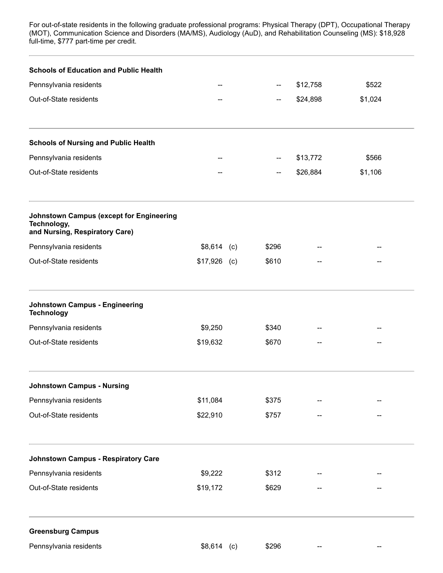residents in the following graduate professional programs: Physical Therapy (DPT), Science and Disorders (MA/MS), Audiology (AuD), and Rehabilitation Counseling (MS): full-time, \$777 part-time per credit. For out-of-state residents in the following graduate professional programs: Physical Therapy (DPT), Occupational Therapy (MOT), Communication Science and Disorders (MA/MS), Audiology (AuD), and Rehabilitation Counseling (MS): \$18,928

| <b>Schools of Education and Public Health</b>                                                    |               |       |          |         |
|--------------------------------------------------------------------------------------------------|---------------|-------|----------|---------|
| Pennsylvania residents                                                                           |               |       | \$12,758 | \$522   |
| Out-of-State residents                                                                           |               | --    | \$24,898 | \$1,024 |
| <b>Schools of Nursing and Public Health</b>                                                      |               |       |          |         |
| Pennsylvania residents                                                                           |               |       | \$13,772 | \$566   |
| Out-of-State residents                                                                           |               | --    | \$26,884 | \$1,106 |
| <b>Johnstown Campus (except for Engineering</b><br>Technology,<br>and Nursing, Respiratory Care) |               |       |          |         |
| Pennsylvania residents                                                                           | $$8,614$ (c)  | \$296 |          |         |
| Out-of-State residents                                                                           | $$17,926$ (c) | \$610 |          |         |
| <b>Johnstown Campus - Engineering</b><br><b>Technology</b>                                       |               |       |          |         |
| Pennsylvania residents                                                                           | \$9,250       | \$340 |          |         |
| Out-of-State residents                                                                           | \$19,632      | \$670 |          |         |
| <b>Johnstown Campus - Nursing</b>                                                                |               |       |          |         |
| Pennsylvania residents                                                                           | \$11,084      | \$375 |          |         |
| Out-of-State residents                                                                           | \$22,910      | \$757 |          |         |
| <b>Johnstown Campus - Respiratory Care</b>                                                       |               |       |          |         |
| Pennsylvania residents                                                                           | \$9,222       | \$312 |          |         |
| Out-of-State residents                                                                           | \$19,172      | \$629 |          |         |
| <b>Greensburg Campus</b>                                                                         |               |       |          |         |
| Pennsylvania residents                                                                           | $$8,614$ (c)  | \$296 |          |         |